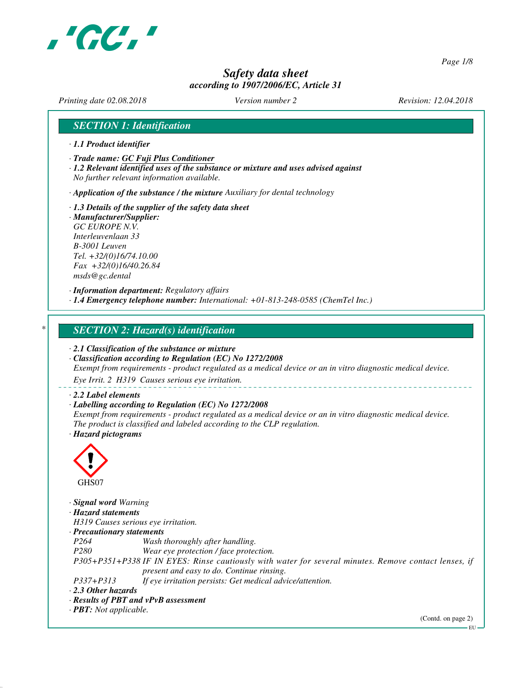

*Page 1/8*

# *Safety data sheet according to 1907/2006/EC, Article 31*

*Printing date 02.08.2018 Version number 2 Revision: 12.04.2018*

## *SECTION 1: Identification*

- *· 1.1 Product identifier*
- *· Trade name: GC Fuji Plus Conditioner*
- *· 1.2 Relevant identified uses of the substance or mixture and uses advised against No further relevant information available.*

*· Application of the substance / the mixture Auxiliary for dental technology*

- *· 1.3 Details of the supplier of the safety data sheet · Manufacturer/Supplier:*
- *GC EUROPE N.V. Interleuvenlaan 33 B-3001 Leuven Tel. +32/(0)16/74.10.00 Fax +32/(0)16/40.26.84 msds@gc.dental*

*· Information department: Regulatory affairs · 1.4 Emergency telephone number: International: +01-813-248-0585 (ChemTel Inc.)*

## *\* SECTION 2: Hazard(s) identification*

*· 2.1 Classification of the substance or mixture*

*· Classification according to Regulation (EC) No 1272/2008 Exempt from requirements - product regulated as a medical device or an in vitro diagnostic medical device.*

*Eye Irrit. 2 H319 Causes serious eye irritation.*

#### *· 2.2 Label elements*

#### *· Labelling according to Regulation (EC) No 1272/2008*

*Exempt from requirements - product regulated as a medical device or an in vitro diagnostic medical device. The product is classified and labeled according to the CLP regulation. · Hazard pictograms*



*· Signal word Warning · Hazard statements H319 Causes serious eye irritation. · Precautionary statements P264 Wash thoroughly after handling. P280 Wear eye protection / face protection. P305+P351+P338 IF IN EYES: Rinse cautiously with water for several minutes. Remove contact lenses, if present and easy to do. Continue rinsing. P337+P313 If eye irritation persists: Get medical advice/attention. · 2.3 Other hazards · Results of PBT and vPvB assessment*

*· PBT: Not applicable.*

(Contd. on page 2)

EU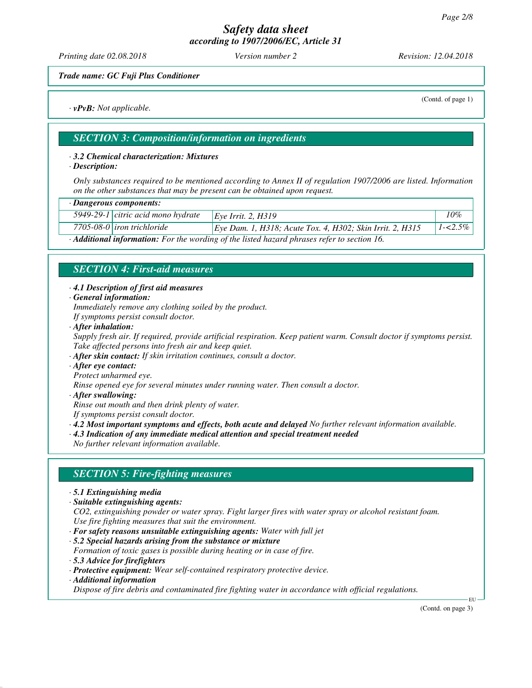*Printing date 02.08.2018 Version number 2 Revision: 12.04.2018*

#### *Trade name: GC Fuji Plus Conditioner*

*· vPvB: Not applicable.*

(Contd. of page 1)

# *SECTION 3: Composition/information on ingredients*

#### *· 3.2 Chemical characterization: Mixtures*

*· Description:*

*Only substances required to be mentioned according to Annex II of regulation 1907/2006 are listed. Information on the other substances that may be present can be obtained upon request.*

| · Dangerous components:            |                                                           |             |
|------------------------------------|-----------------------------------------------------------|-------------|
| 5949-29-1 citric acid mono hydrate | Eve Irrit. 2. H319                                        | 10%         |
| 7705-08-0 <i>iron trichloride</i>  | Eye Dam. 1, H318; Acute Tox. 4, H302; Skin Irrit. 2, H315 | $1 - 2.5\%$ |
| .<br>.                             |                                                           |             |

*· Additional information: For the wording of the listed hazard phrases refer to section 16.*

## *SECTION 4: First-aid measures*

#### *· 4.1 Description of first aid measures*

*· General information:*

*Immediately remove any clothing soiled by the product.*

- *If symptoms persist consult doctor.*
- *· After inhalation:*
- *Supply fresh air. If required, provide artificial respiration. Keep patient warm. Consult doctor if symptoms persist. Take affected persons into fresh air and keep quiet.*
- *· After skin contact: If skin irritation continues, consult a doctor.*
- *· After eye contact:*

*Protect unharmed eye.*

*Rinse opened eye for several minutes under running water. Then consult a doctor.*

*· After swallowing:*

*Rinse out mouth and then drink plenty of water.*

- *If symptoms persist consult doctor.*
- *· 4.2 Most important symptoms and effects, both acute and delayed No further relevant information available.*
- *· 4.3 Indication of any immediate medical attention and special treatment needed*

*No further relevant information available.*

## *SECTION 5: Fire-fighting measures*

- *· 5.1 Extinguishing media*
- *· Suitable extinguishing agents:*

*CO2, extinguishing powder or water spray. Fight larger fires with water spray or alcohol resistant foam. Use fire fighting measures that suit the environment.*

*· For safety reasons unsuitable extinguishing agents: Water with full jet*

*· 5.2 Special hazards arising from the substance or mixture Formation of toxic gases is possible during heating or in case of fire.*

- *· 5.3 Advice for firefighters*
- *· Protective equipment: Wear self-contained respiratory protective device.*
- *· Additional information*

*Dispose of fire debris and contaminated fire fighting water in accordance with official regulations.*

(Contd. on page 3)

EU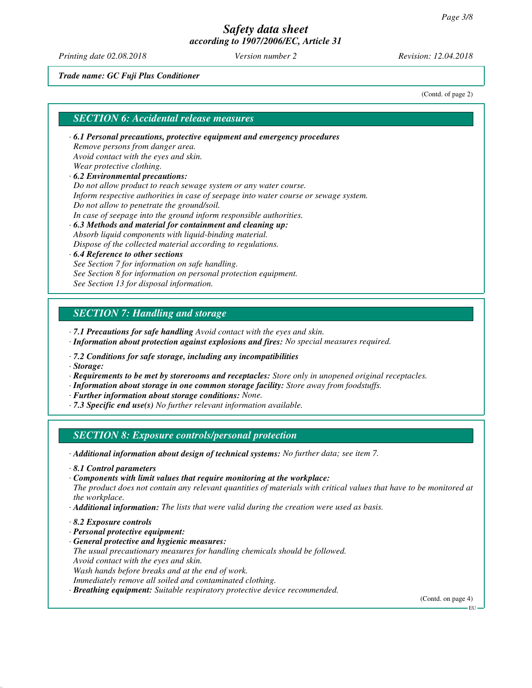*Printing date 02.08.2018 Version number 2 Revision: 12.04.2018*

#### *Trade name: GC Fuji Plus Conditioner*

(Contd. of page 2)

## *SECTION 6: Accidental release measures*

*· 6.1 Personal precautions, protective equipment and emergency procedures Remove persons from danger area. Avoid contact with the eyes and skin. Wear protective clothing. · 6.2 Environmental precautions:*

*Do not allow product to reach sewage system or any water course. Inform respective authorities in case of seepage into water course or sewage system.*

- *Do not allow to penetrate the ground/soil.*
- *In case of seepage into the ground inform responsible authorities.*
- *· 6.3 Methods and material for containment and cleaning up: Absorb liquid components with liquid-binding material. Dispose of the collected material according to regulations.*

#### *· 6.4 Reference to other sections See Section 7 for information on safe handling. See Section 8 for information on personal protection equipment. See Section 13 for disposal information.*

# *SECTION 7: Handling and storage*

- *· 7.1 Precautions for safe handling Avoid contact with the eyes and skin.*
- *· Information about protection against explosions and fires: No special measures required.*
- *· 7.2 Conditions for safe storage, including any incompatibilities*

*· Storage:*

- *· Requirements to be met by storerooms and receptacles: Store only in unopened original receptacles.*
- *· Information about storage in one common storage facility: Store away from foodstuffs.*
- *· Further information about storage conditions: None.*
- *· 7.3 Specific end use(s) No further relevant information available.*

## *SECTION 8: Exposure controls/personal protection*

- *· Additional information about design of technical systems: No further data; see item 7.*
- *· 8.1 Control parameters*
- *· Components with limit values that require monitoring at the workplace:*

*The product does not contain any relevant quantities of materials with critical values that have to be monitored at the workplace.*

- *· Additional information: The lists that were valid during the creation were used as basis.*
- *· 8.2 Exposure controls*
- *· Personal protective equipment:*
- *· General protective and hygienic measures:*

*The usual precautionary measures for handling chemicals should be followed.*

*Avoid contact with the eyes and skin.*

*Wash hands before breaks and at the end of work.*

*Immediately remove all soiled and contaminated clothing.*

*· Breathing equipment: Suitable respiratory protective device recommended.*

(Contd. on page 4)

EU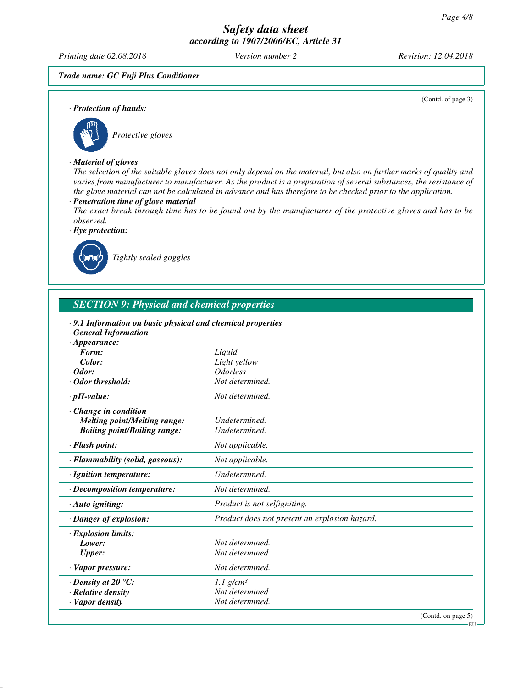*Printing date 02.08.2018 Version number 2 Revision: 12.04.2018*

(Contd. of page 3)

#### *Trade name: GC Fuji Plus Conditioner*

*· Protection of hands:*



# *· Material of gloves*

*The selection of the suitable gloves does not only depend on the material, but also on further marks of quality and varies from manufacturer to manufacturer. As the product is a preparation of several substances, the resistance of the glove material can not be calculated in advance and has therefore to be checked prior to the application.*

#### *· Penetration time of glove material*

*The exact break through time has to be found out by the manufacturer of the protective gloves and has to be observed.*

*· Eye protection:*



*Tightly sealed goggles*

| <b>SECTION 9: Physical and chemical properties</b>                                                                     |                                               |  |
|------------------------------------------------------------------------------------------------------------------------|-----------------------------------------------|--|
| $\cdot$ 9.1 Information on basic physical and chemical properties<br><b>General Information</b><br>$\cdot$ Appearance: |                                               |  |
| Form:                                                                                                                  | Liquid                                        |  |
| Color:                                                                                                                 | Light yellow                                  |  |
| $\cdot$ Odor:                                                                                                          | <i><b>Odorless</b></i>                        |  |
| · Odor threshold:                                                                                                      | Not determined.                               |  |
| $\cdot$ pH-value:                                                                                                      | Not determined.                               |  |
| Change in condition<br><b>Melting point/Melting range:</b><br><b>Boiling point/Boiling range:</b>                      | Undetermined.<br>Undetermined.                |  |
| · Flash point:                                                                                                         | Not applicable.                               |  |
| · Flammability (solid, gaseous):                                                                                       | Not applicable.                               |  |
| · Ignition temperature:                                                                                                | Undetermined.                                 |  |
| $\cdot$ Decomposition temperature:                                                                                     | Not determined.                               |  |
| $\cdot$ Auto igniting:                                                                                                 | Product is not selfigniting.                  |  |
| · Danger of explosion:                                                                                                 | Product does not present an explosion hazard. |  |
| · Explosion limits:<br>Lower:<br><b>Upper:</b>                                                                         | Not determined.<br>Not determined.            |  |
| · Vapor pressure:                                                                                                      | Not determined.                               |  |
| $\cdot$ Density at 20 $\degree$ C:                                                                                     | $1.1$ g/cm <sup>3</sup>                       |  |
| · Relative density                                                                                                     | Not determined.                               |  |
| · Vapor density                                                                                                        | Not determined.                               |  |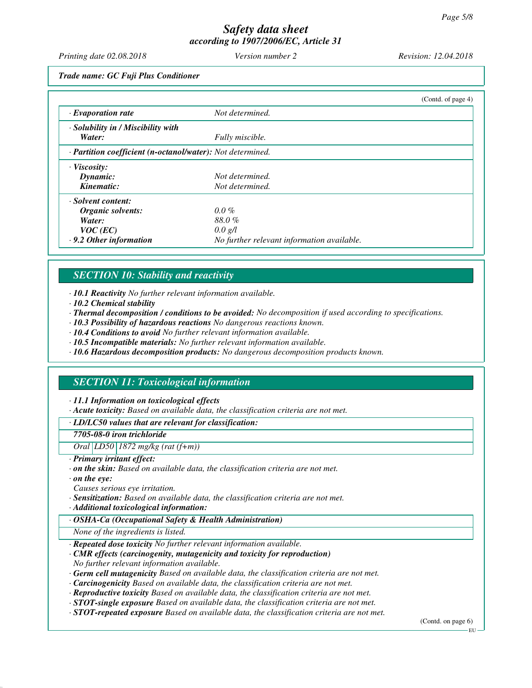*Printing date 02.08.2018 Version number 2 Revision: 12.04.2018*

*Trade name: GC Fuji Plus Conditioner*

|                                                            |                                            | (Contd. of page 4) |
|------------------------------------------------------------|--------------------------------------------|--------------------|
| $\cdot$ Evaporation rate                                   | Not determined.                            |                    |
| · Solubility in / Miscibility with                         |                                            |                    |
| Water:                                                     | Fully miscible.                            |                    |
| · Partition coefficient (n-octanol/water): Not determined. |                                            |                    |
| $\cdot$ Viscosity:                                         |                                            |                    |
| Dynamic:                                                   | Not determined.                            |                    |
| Kinematic:                                                 | Not determined.                            |                    |
| · Solvent content:                                         |                                            |                    |
| Organic solvents:                                          | $0.0\%$                                    |                    |
| Water:                                                     | 88.0%                                      |                    |
| $VOC$ (EC)                                                 | $0.0 \text{ g/l}$                          |                    |
| $\cdot$ 9.2 Other information                              | No further relevant information available. |                    |

# *SECTION 10: Stability and reactivity*

*· 10.1 Reactivity No further relevant information available.*

- *· 10.2 Chemical stability*
- *· Thermal decomposition / conditions to be avoided: No decomposition if used according to specifications.*
- *· 10.3 Possibility of hazardous reactions No dangerous reactions known.*
- *· 10.4 Conditions to avoid No further relevant information available.*
- *· 10.5 Incompatible materials: No further relevant information available.*
- *· 10.6 Hazardous decomposition products: No dangerous decomposition products known.*

# *SECTION 11: Toxicological information*

#### *· 11.1 Information on toxicological effects*

*· Acute toxicity: Based on available data, the classification criteria are not met.*

*· LD/LC50 values that are relevant for classification:*

#### *7705-08-0 iron trichloride*

*Oral LD50 1872 mg/kg (rat (f+m))*

- *· Primary irritant effect:*
- *· on the skin: Based on available data, the classification criteria are not met.*
- *· on the eye:*
- *Causes serious eye irritation.*
- *· Sensitization: Based on available data, the classification criteria are not met.*
- *· Additional toxicological information:*
- *· OSHA-Ca (Occupational Safety & Health Administration)*

*None of the ingredients is listed.*

- *· Repeated dose toxicity No further relevant information available.*
- *· CMR effects (carcinogenity, mutagenicity and toxicity for reproduction) No further relevant information available.*
- *· Germ cell mutagenicity Based on available data, the classification criteria are not met.*
- *· Carcinogenicity Based on available data, the classification criteria are not met.*
- *· Reproductive toxicity Based on available data, the classification criteria are not met.*
- *· STOT-single exposure Based on available data, the classification criteria are not met.*
- *· STOT-repeated exposure Based on available data, the classification criteria are not met.*

(Contd. on page 6)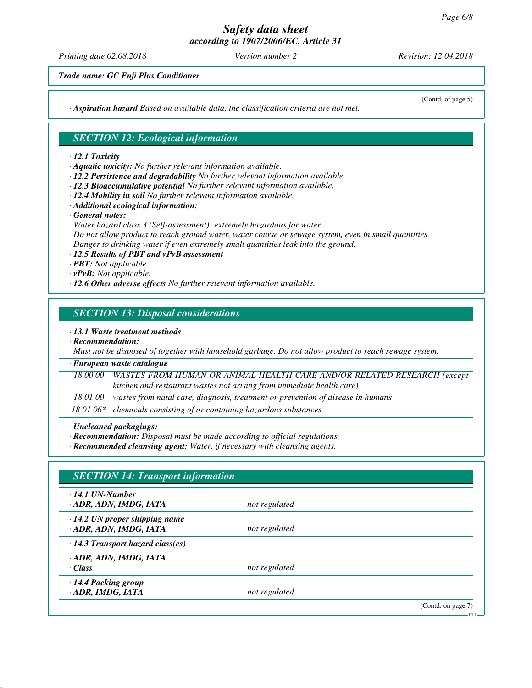*Printing date 02.08.2018 Version number 2 Revision: 12.04.2018*

(Contd. of page 5)

*Trade name: GC Fuji Plus Conditioner*

*· Aspiration hazard Based on available data, the classification criteria are not met.*

## *SECTION 12: Ecological information*

#### *· 12.1 Toxicity*

- *· Aquatic toxicity: No further relevant information available.*
- *· 12.2 Persistence and degradability No further relevant information available.*
- *· 12.3 Bioaccumulative potential No further relevant information available.*
- *· 12.4 Mobility in soil No further relevant information available.*
- *· Additional ecological information:*
- *· General notes:*
- *Water hazard class 3 (Self-assessment): extremely hazardous for water Do not allow product to reach ground water, water course or sewage system, even in small quantities. Danger to drinking water if even extremely small quantities leak into the ground.*
- *· 12.5 Results of PBT and vPvB assessment*
- *· PBT: Not applicable.*
- *· vPvB: Not applicable.*
- *· 12.6 Other adverse effects No further relevant information available.*

## *SECTION 13: Disposal considerations*

#### *· 13.1 Waste treatment methods*

*· Recommendation:*

*Must not be disposed of together with household garbage. Do not allow product to reach sewage system.*

| · European waste catalogue |                                                                                    |
|----------------------------|------------------------------------------------------------------------------------|
|                            | 18 00 00   WASTES FROM HUMAN OR ANIMAL HEALTH CARE AND/OR RELATED RESEARCH (except |
|                            | kitchen and restaurant wastes not arising from immediate health care)              |
| 18 01 00                   | wastes from natal care, diagnosis, treatment or prevention of disease in humans    |
|                            | 18 01 06* $\vert$ chemicals consisting of or containing hazardous substances       |

*· Uncleaned packagings:*

*· Recommendation: Disposal must be made according to official regulations.*

*· Recommended cleansing agent: Water, if necessary with cleansing agents.*

| $\cdot$ 14.1 UN-Number                  |               |  |
|-----------------------------------------|---------------|--|
| · ADR, ADN, IMDG, IATA                  | not regulated |  |
| $\cdot$ 14.2 UN proper shipping name    |               |  |
| · ADR, ADN, IMDG, IATA                  | not regulated |  |
| $\cdot$ 14.3 Transport hazard class(es) |               |  |
| · ADR, ADN, IMDG, IATA                  |               |  |
| $\cdot$ Class                           | not regulated |  |
| · 14.4 Packing group                    |               |  |
| · ADR, IMDG, IATA                       | not regulated |  |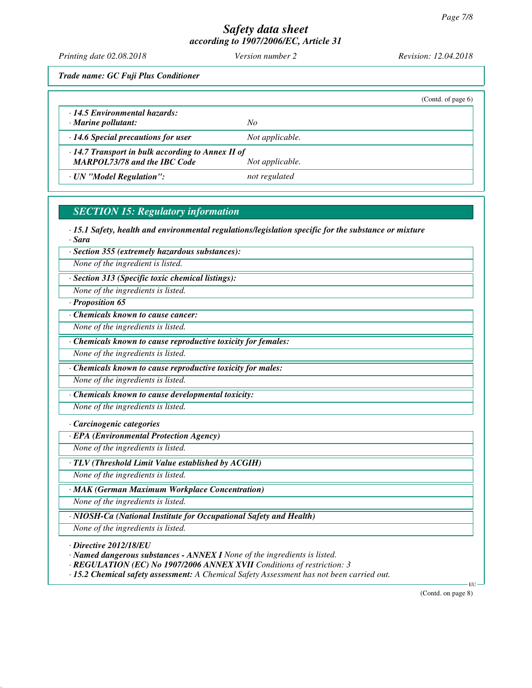*Printing date 02.08.2018 Version number 2 Revision: 12.04.2018*

*Trade name: GC Fuji Plus Conditioner*

|                                                                                                |                 | (Contd. of page $6$ ) |
|------------------------------------------------------------------------------------------------|-----------------|-----------------------|
| $\cdot$ 14.5 Environmental hazards:<br>$\cdot$ Marine pollutant:                               | No              |                       |
| $\cdot$ 14.6 Special precautions for user                                                      | Not applicable. |                       |
| $\cdot$ 14.7 Transport in bulk according to Annex II of<br><b>MARPOL73/78 and the IBC Code</b> | Not applicable. |                       |
| · UN "Model Regulation":                                                                       | not regulated   |                       |

# *SECTION 15: Regulatory information*

*· 15.1 Safety, health and environmental regulations/legislation specific for the substance or mixture · Sara*

*· Section 355 (extremely hazardous substances):*

*None of the ingredient is listed.*

*· Section 313 (Specific toxic chemical listings):*

*None of the ingredients is listed.*

*· Proposition 65*

*· Chemicals known to cause cancer:*

*None of the ingredients is listed.*

*· Chemicals known to cause reproductive toxicity for females:*

*None of the ingredients is listed.*

*· Chemicals known to cause reproductive toxicity for males:*

*None of the ingredients is listed.*

*· Chemicals known to cause developmental toxicity:*

*None of the ingredients is listed.*

*· Carcinogenic categories*

*· EPA (Environmental Protection Agency)*

*None of the ingredients is listed.*

*· TLV (Threshold Limit Value established by ACGIH)*

*None of the ingredients is listed.*

*· MAK (German Maximum Workplace Concentration)*

*None of the ingredients is listed.*

*· NIOSH-Ca (National Institute for Occupational Safety and Health)*

*None of the ingredients is listed.*

*· Directive 2012/18/EU*

*· Named dangerous substances - ANNEX I None of the ingredients is listed.*

*· REGULATION (EC) No 1907/2006 ANNEX XVII Conditions of restriction: 3*

*· 15.2 Chemical safety assessment: A Chemical Safety Assessment has not been carried out.*

(Contd. on page 8)

EU